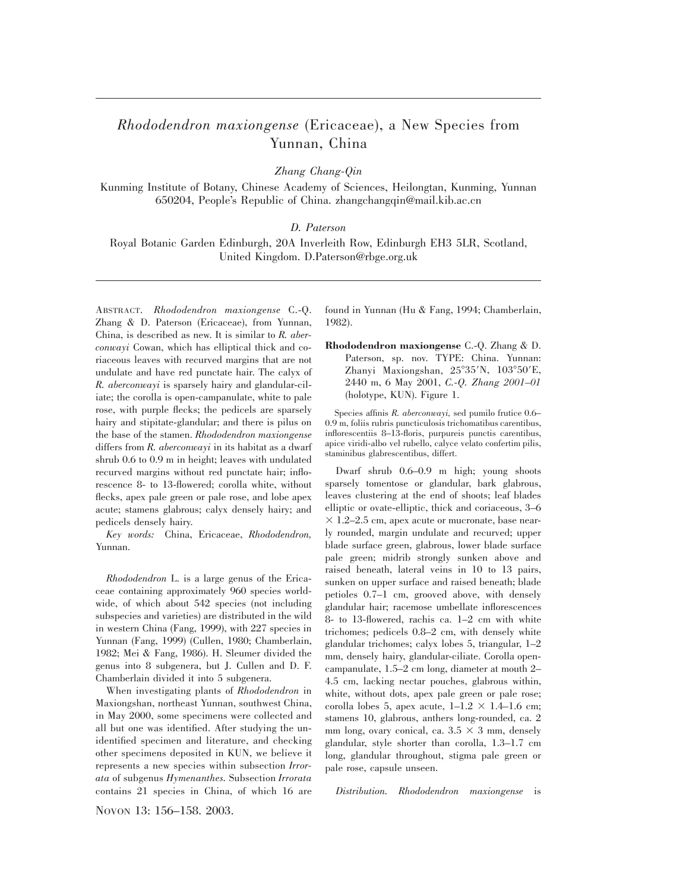## *Rhododendron maxiongense* (Ericaceae), a New Species from Yunnan, China

*Zhang Chang-Qin*

Kunming Institute of Botany, Chinese Academy of Sciences, Heilongtan, Kunming, Yunnan 650204, People's Republic of China. zhangchangqin@mail.kib.ac.cn

## *D. Paterson*

Royal Botanic Garden Edinburgh, 20A Inverleith Row, Edinburgh EH3 5LR, Scotland, United Kingdom. D.Paterson@rbge.org.uk

ABSTRACT. *Rhododendron maxiongense* C.-Q. Zhang & D. Paterson (Ericaceae), from Yunnan, China, is described as new. It is similar to *R. aberconwayi* Cowan, which has elliptical thick and coriaceous leaves with recurved margins that are not undulate and have red punctate hair. The calyx of *R. aberconwayi* is sparsely hairy and glandular-ciliate; the corolla is open-campanulate, white to pale rose, with purple flecks; the pedicels are sparsely hairy and stipitate-glandular; and there is pilus on the base of the stamen. *Rhododendron maxiongense* differs from *R. aberconwayi* in its habitat as a dwarf shrub 0.6 to 0.9 m in height; leaves with undulated recurved margins without red punctate hair; inflorescence 8- to 13-flowered; corolla white, without flecks, apex pale green or pale rose, and lobe apex acute; stamens glabrous; calyx densely hairy; and pedicels densely hairy.

*Key words:* China, Ericaceae, *Rhododendron,* Yunnan.

*Rhododendron* L. is a large genus of the Ericaceae containing approximately 960 species worldwide, of which about 542 species (not including subspecies and varieties) are distributed in the wild in western China (Fang, 1999), with 227 species in Yunnan (Fang, 1999) (Cullen, 1980; Chamberlain, 1982; Mei & Fang, 1986). H. Sleumer divided the genus into 8 subgenera, but J. Cullen and D. F. Chamberlain divided it into 5 subgenera.

When investigating plants of *Rhododendron* in Maxiongshan, northeast Yunnan, southwest China, in May 2000, some specimens were collected and all but one was identified. After studying the unidentified specimen and literature, and checking other specimens deposited in KUN, we believe it represents a new species within subsection *Irrorata* of subgenus *Hymenanthes.* Subsection *Irrorata* contains 21 species in China, of which 16 are found in Yunnan (Hu & Fang, 1994; Chamberlain, 1982).

**Rhododendron maxiongense** C.-Q. Zhang & D. Paterson, sp. nov. TYPE: China. Yunnan: Zhanyi Maxiongshan, 25°35'N, 103°50'E, 2440 m, 6 May 2001, *C.-Q. Zhang 2001–01* (holotype, KUN). Figure 1.

Species affinis *R. aberconwayi,* sed pumilo frutice 0.6– 0.9 m, foliis rubris puncticulosis trichomatibus carentibus, inflorescentiis 8–13-floris, purpureis punctis carentibus, apice viridi-albo vel rubello, calyce velato confertim pilis, staminibus glabrescentibus, differt.

Dwarf shrub 0.6–0.9 m high; young shoots sparsely tomentose or glandular, bark glabrous, leaves clustering at the end of shoots; leaf blades elliptic or ovate-elliptic, thick and coriaceous, 3–6  $\times$  1.2–2.5 cm, apex acute or mucronate, base nearly rounded, margin undulate and recurved; upper blade surface green, glabrous, lower blade surface pale green; midrib strongly sunken above and raised beneath, lateral veins in 10 to 13 pairs, sunken on upper surface and raised beneath; blade petioles 0.7–1 cm, grooved above, with densely glandular hair; racemose umbellate inflorescences 8- to 13-flowered, rachis ca. 1–2 cm with white trichomes; pedicels 0.8–2 cm, with densely white glandular trichomes; calyx lobes 5, triangular, 1–2 mm, densely hairy, glandular-ciliate. Corolla opencampanulate, 1.5–2 cm long, diameter at mouth 2– 4.5 cm, lacking nectar pouches, glabrous within, white, without dots, apex pale green or pale rose; corolla lobes 5, apex acute,  $1-1.2 \times 1.4-1.6$  cm; stamens 10, glabrous, anthers long-rounded, ca. 2 mm long, ovary conical, ca.  $3.5 \times 3$  mm, densely glandular, style shorter than corolla, 1.3–1.7 cm long, glandular throughout, stigma pale green or pale rose, capsule unseen.

*Distribution. Rhododendron maxiongense* is

NOVON 13: 156–158. 2003.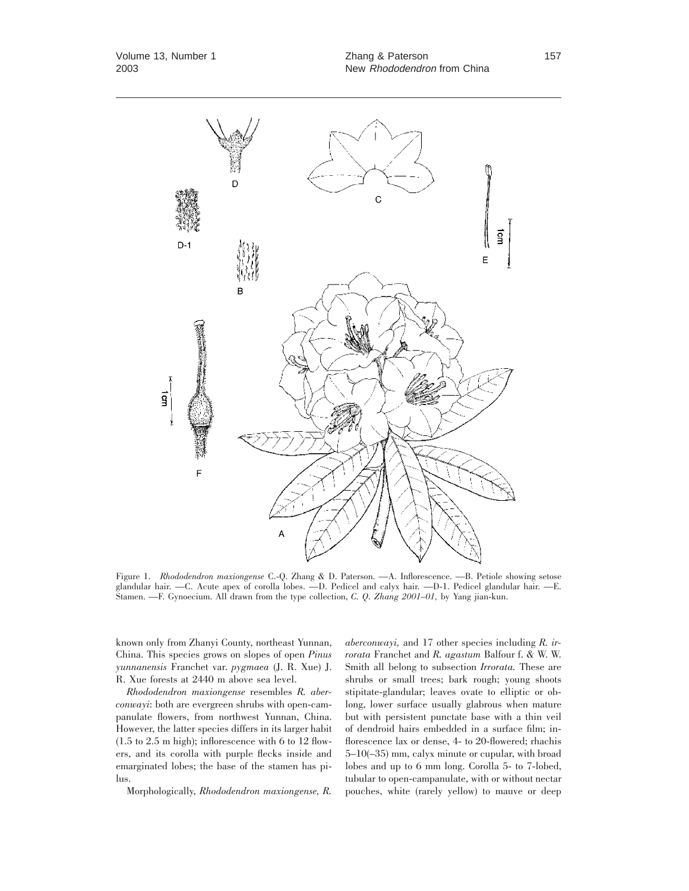

Figure 1. *Rhododendron maxiongense* C.-Q. Zhang & D. Paterson. —A. Inflorescence. —B. Petiole showing setose glandular hair. —C. Acute apex of corolla lobes. —D. Pedicel and calyx hair. —D-1. Pedicel glandular hair. —E. Stamen. —F. Gynoecium. All drawn from the type collection, *C. Q. Zhang 2001–01,* by Yang jian-kun.

known only from Zhanyi County, northeast Yunnan, China. This species grows on slopes of open *Pinus yunnanensis* Franchet var. *pygmaea* (J. R. Xue) J. R. Xue forests at 2440 m above sea level.

*Rhododendron maxiongense* resembles *R. aberconwayi*: both are evergreen shrubs with open-campanulate flowers, from northwest Yunnan, China. However, the latter species differs in its larger habit (1.5 to 2.5 m high); inflorescence with 6 to 12 flowers, and its corolla with purple flecks inside and emarginated lobes; the base of the stamen has pilus.

Morphologically, *Rhododendron maxiongense, R.*

*aberconwayi,* and 17 other species including *R. irrorata* Franchet and *R. agastum* Balfour f. & W. W. Smith all belong to subsection *Irrorata.* These are shrubs or small trees; bark rough; young shoots stipitate-glandular; leaves ovate to elliptic or oblong, lower surface usually glabrous when mature but with persistent punctate base with a thin veil of dendroid hairs embedded in a surface film; inflorescence lax or dense, 4- to 20-flowered; rhachis 5–10(–35) mm, calyx minute or cupular, with broad lobes and up to 6 mm long. Corolla 5- to 7-lobed, tubular to open-campanulate, with or without nectar pouches, white (rarely yellow) to mauve or deep